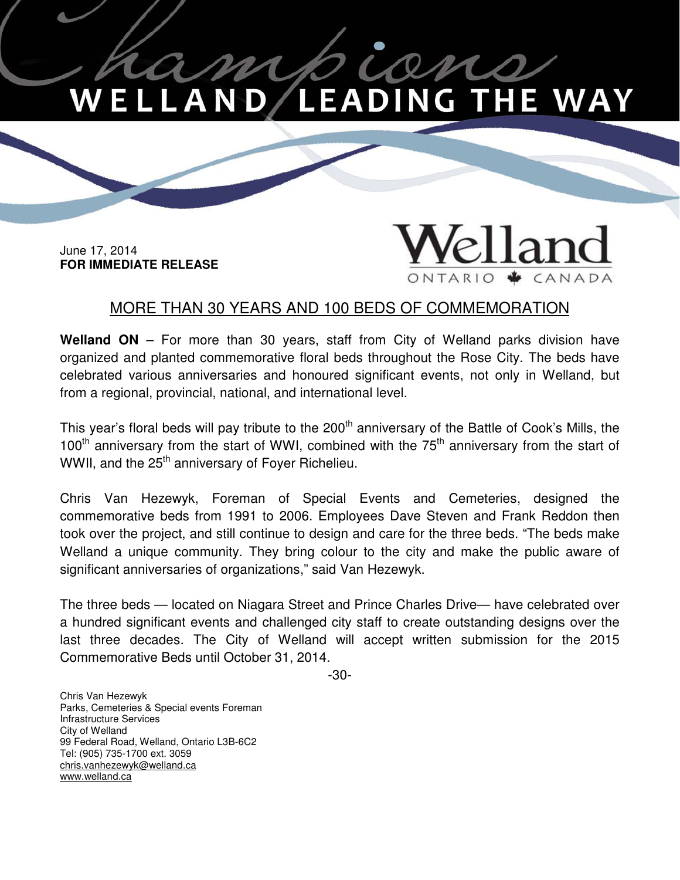## on **LEADING THE WAY** . L A

 June 17, 2014  **FOR IMMEDIATE RELEASE**

## land CANADA ONTARIO

## MORE THAN 30 YEARS AND 100 BEDS OF COMMEMORATION

 **Welland ON** – For more than 30 years, staff from City of Welland parks division have organized and planted commemorative floral beds throughout the Rose City. The beds have celebrated various anniversaries and honoured significant events, not only in Welland, but from a regional, provincial, national, and international level.

This year's floral beds will pay tribute to the 200<sup>th</sup> anniversary of the Battle of Cook's Mills, the 100<sup>th</sup> anniversary from the start of WWI, combined with the  $75<sup>th</sup>$  anniversary from the start of WWII, and the 25<sup>th</sup> anniversary of Foyer Richelieu.

 Chris Van Hezewyk, Foreman of Special Events and Cemeteries, designed the commemorative beds from 1991 to 2006. Employees Dave Steven and Frank Reddon then took over the project, and still continue to design and care for the three beds. "The beds make Welland a unique community. They bring colour to the city and make the public aware of significant anniversaries of organizations," said Van Hezewyk.

 The three beds — located on Niagara Street and Prince Charles Drive— have celebrated over a hundred significant events and challenged city staff to create outstanding designs over the last three decades. The City of Welland will accept written submission for the 2015 Commemorative Beds until October 31, 2014.

-30-

 Chris Van Hezewyk Parks, Cemeteries & Special events Foreman Infrastructure Services City of Welland 99 Federal Road, Welland, Ontario L3B-6C2 Tel: (905) 735-1700 ext. 3059 chris.vanhezewyk@welland.ca www.welland.ca